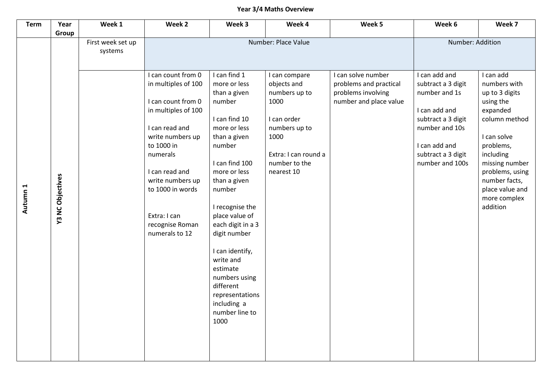## **Year 3/4 Maths Overview**

| <b>Term</b> | Year                    | Week 1                       | Week 2                                                                                                                                | Week 3                                                                                                                                                                                                                                                                             | Week 4                                                                                                               | Week 5                                                                                       | Week 6                                                                                                                            | Week 7                                                                                                                      |
|-------------|-------------------------|------------------------------|---------------------------------------------------------------------------------------------------------------------------------------|------------------------------------------------------------------------------------------------------------------------------------------------------------------------------------------------------------------------------------------------------------------------------------|----------------------------------------------------------------------------------------------------------------------|----------------------------------------------------------------------------------------------|-----------------------------------------------------------------------------------------------------------------------------------|-----------------------------------------------------------------------------------------------------------------------------|
|             | Group                   | First week set up<br>systems | I can count from 0<br>in multiples of 100<br>I can count from 0<br>in multiples of 100<br>I can read and<br>write numbers up          | I can find 1<br>more or less<br>than a given<br>number<br>I can find 10<br>more or less<br>than a given                                                                                                                                                                            | Number: Place Value<br>I can compare<br>objects and<br>numbers up to<br>1000<br>I can order<br>numbers up to<br>1000 | I can solve number<br>problems and practical<br>problems involving<br>number and place value | Number: Addition<br>I can add and<br>subtract a 3 digit<br>number and 1s<br>I can add and<br>subtract a 3 digit<br>number and 10s | I can add<br>numbers with<br>up to 3 digits<br>using the<br>expanded<br>column method<br>I can solve                        |
| Autumn 1    | <b>Y3 NC Objectives</b> |                              | to 1000 in<br>numerals<br>I can read and<br>write numbers up<br>to 1000 in words<br>Extra: I can<br>recognise Roman<br>numerals to 12 | number<br>I can find 100<br>more or less<br>than a given<br>number<br>I recognise the<br>place value of<br>each digit in a 3<br>digit number<br>I can identify,<br>write and<br>estimate<br>numbers using<br>different<br>representations<br>including a<br>number line to<br>1000 | Extra: I can round a<br>number to the<br>nearest 10                                                                  |                                                                                              | I can add and<br>subtract a 3 digit<br>number and 100s                                                                            | problems,<br>including<br>missing number<br>problems, using<br>number facts,<br>place value and<br>more complex<br>addition |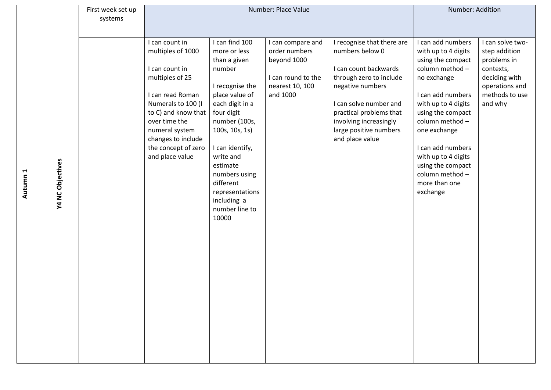|          |                  | First week set up |                                      | Number: Place Value            | Number: Addition             |                                           |                                      |                          |
|----------|------------------|-------------------|--------------------------------------|--------------------------------|------------------------------|-------------------------------------------|--------------------------------------|--------------------------|
|          |                  | systems           |                                      |                                |                              |                                           |                                      |                          |
|          |                  |                   |                                      |                                |                              |                                           |                                      |                          |
|          |                  |                   | I can count in                       | I can find 100                 | I can compare and            | I recognise that there are                | I can add numbers                    | I can solve two-         |
|          |                  |                   | multiples of 1000                    | more or less                   | order numbers<br>beyond 1000 | numbers below 0                           | with up to 4 digits                  | step addition            |
|          |                  |                   | I can count in                       | than a given<br>number         |                              | I can count backwards                     | using the compact<br>column method - | problems in<br>contexts, |
|          |                  |                   | multiples of 25                      |                                | I can round to the           | through zero to include                   | no exchange                          | deciding with            |
|          |                  |                   |                                      | I recognise the                | nearest 10, 100              | negative numbers                          |                                      | operations and           |
|          |                  |                   | I can read Roman                     | place value of                 | and 1000                     |                                           | I can add numbers                    | methods to use           |
|          |                  |                   | Numerals to 100 (I                   | each digit in a                |                              | I can solve number and                    | with up to 4 digits                  | and why                  |
|          |                  |                   | to C) and know that                  | four digit                     |                              | practical problems that                   | using the compact                    |                          |
|          |                  |                   | over time the                        | number (100s,                  |                              | involving increasingly                    | column method -                      |                          |
|          |                  |                   | numeral system<br>changes to include | 100s, 10s, 1s)                 |                              | large positive numbers<br>and place value | one exchange                         |                          |
|          |                  |                   | the concept of zero                  | I can identify,                |                              |                                           | I can add numbers                    |                          |
|          |                  |                   | and place value                      | write and                      |                              |                                           | with up to 4 digits                  |                          |
|          |                  |                   |                                      | estimate                       |                              |                                           | using the compact                    |                          |
|          |                  |                   |                                      | numbers using                  |                              |                                           | column method-                       |                          |
| Autumn 1 | Y4 NC Objectives |                   |                                      | different                      |                              |                                           | more than one                        |                          |
|          |                  |                   |                                      | representations<br>including a |                              |                                           | exchange                             |                          |
|          |                  |                   |                                      | number line to                 |                              |                                           |                                      |                          |
|          |                  |                   |                                      | 10000                          |                              |                                           |                                      |                          |
|          |                  |                   |                                      |                                |                              |                                           |                                      |                          |
|          |                  |                   |                                      |                                |                              |                                           |                                      |                          |
|          |                  |                   |                                      |                                |                              |                                           |                                      |                          |
|          |                  |                   |                                      |                                |                              |                                           |                                      |                          |
|          |                  |                   |                                      |                                |                              |                                           |                                      |                          |
|          |                  |                   |                                      |                                |                              |                                           |                                      |                          |
|          |                  |                   |                                      |                                |                              |                                           |                                      |                          |
|          |                  |                   |                                      |                                |                              |                                           |                                      |                          |
|          |                  |                   |                                      |                                |                              |                                           |                                      |                          |
|          |                  |                   |                                      |                                |                              |                                           |                                      |                          |
|          |                  |                   |                                      |                                |                              |                                           |                                      |                          |
|          |                  |                   |                                      |                                |                              |                                           |                                      |                          |
|          |                  |                   |                                      |                                |                              |                                           |                                      |                          |
|          |                  |                   |                                      |                                |                              |                                           |                                      |                          |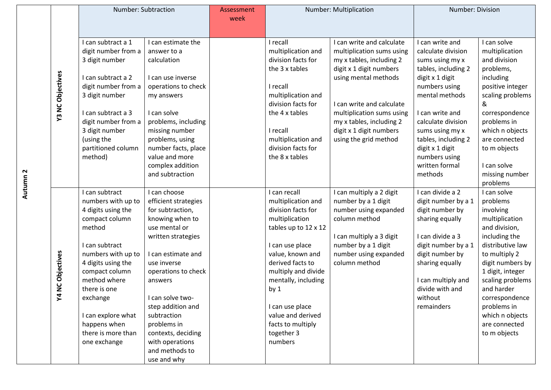|  | Number: Subtraction     |                                | Assessment           | Number: Multiplication |                                          | Number: Division                                |                                        |                                |
|--|-------------------------|--------------------------------|----------------------|------------------------|------------------------------------------|-------------------------------------------------|----------------------------------------|--------------------------------|
|  |                         |                                |                      | week                   |                                          |                                                 |                                        |                                |
|  |                         |                                |                      |                        |                                          |                                                 |                                        |                                |
|  |                         | I can subtract a 1             | I can estimate the   |                        | I recall                                 | I can write and calculate                       | I can write and                        | I can solve                    |
|  |                         | digit number from a            | answer to a          |                        | multiplication and<br>division facts for | multiplication sums using                       | calculate division                     | multiplication                 |
|  |                         | 3 digit number                 | calculation          |                        | the 3 x tables                           | my x tables, including 2                        | sums using my x                        | and division                   |
|  |                         | I can subtract a 2             | I can use inverse    |                        |                                          | digit x 1 digit numbers<br>using mental methods | tables, including 2<br>digit x 1 digit | problems,<br>including         |
|  |                         | digit number from a            | operations to check  |                        | I recall                                 |                                                 | numbers using                          | positive integer               |
|  |                         | 3 digit number                 | my answers           |                        | multiplication and                       |                                                 | mental methods                         | scaling problems               |
|  | <b>Y3 NC Objectives</b> |                                |                      |                        | division facts for                       | I can write and calculate                       |                                        | &                              |
|  |                         | I can subtract a 3             | I can solve          |                        | the 4 x tables                           | multiplication sums using                       | I can write and                        | correspondence                 |
|  |                         | digit number from a            | problems, including  |                        |                                          | my x tables, including 2                        | calculate division                     | problems in                    |
|  |                         | 3 digit number                 | missing number       |                        | I recall                                 | digit x 1 digit numbers                         | sums using my x                        | which n objects                |
|  |                         | (using the                     | problems, using      |                        | multiplication and                       | using the grid method                           | tables, including 2                    | are connected                  |
|  |                         | partitioned column             | number facts, place  |                        | division facts for                       |                                                 | digit x 1 digit                        | to m objects                   |
|  |                         | method)                        | value and more       |                        | the 8 x tables                           |                                                 | numbers using                          |                                |
|  |                         |                                | complex addition     |                        |                                          |                                                 | written formal                         | I can solve                    |
|  |                         |                                | and subtraction      |                        |                                          |                                                 | methods                                | missing number                 |
|  |                         |                                |                      |                        |                                          |                                                 |                                        | problems                       |
|  |                         | I can subtract                 | I can choose         |                        | I can recall                             | I can multiply a 2 digit                        | I can divide a 2                       | I can solve                    |
|  |                         | numbers with up to             | efficient strategies |                        | multiplication and                       | number by a 1 digit                             | digit number by a 1                    | problems                       |
|  |                         | 4 digits using the             | for subtraction,     |                        | division facts for                       | number using expanded                           | digit number by                        | involving                      |
|  |                         | compact column                 | knowing when to      |                        | multiplication                           | column method                                   | sharing equally                        | multiplication                 |
|  |                         | method                         | use mental or        |                        | tables up to 12 x 12                     |                                                 |                                        | and division,                  |
|  |                         |                                | written strategies   |                        |                                          | I can multiply a 3 digit                        | I can divide a 3                       | including the                  |
|  |                         | I can subtract                 |                      |                        | I can use place                          | number by a 1 digit                             | digit number by a 1                    | distributive law               |
|  |                         | numbers with up to             | I can estimate and   |                        | value, known and                         | number using expanded                           | digit number by                        | to multiply 2                  |
|  | Objectives              | 4 digits using the             | use inverse          |                        | derived facts to                         | column method                                   | sharing equally                        | digit numbers by               |
|  |                         | compact column<br>method where | operations to check  |                        | multiply and divide                      |                                                 |                                        | 1 digit, integer               |
|  | <u>ပ</u>                | there is one                   | answers              |                        | mentally, including                      |                                                 | I can multiply and<br>divide with and  | scaling problems<br>and harder |
|  | 4                       | exchange                       | I can solve two-     |                        | by <sub>1</sub>                          |                                                 | without                                | correspondence                 |
|  |                         |                                | step addition and    |                        | I can use place                          |                                                 | remainders                             | problems in                    |
|  |                         | I can explore what             | subtraction          |                        | value and derived                        |                                                 |                                        | which n objects                |
|  |                         | happens when                   | problems in          |                        | facts to multiply                        |                                                 |                                        | are connected                  |
|  |                         | there is more than             | contexts, deciding   |                        | together 3                               |                                                 |                                        | to m objects                   |
|  |                         | one exchange                   | with operations      |                        | numbers                                  |                                                 |                                        |                                |
|  |                         |                                | and methods to       |                        |                                          |                                                 |                                        |                                |
|  |                         |                                | use and why          |                        |                                          |                                                 |                                        |                                |

**Autumn 2**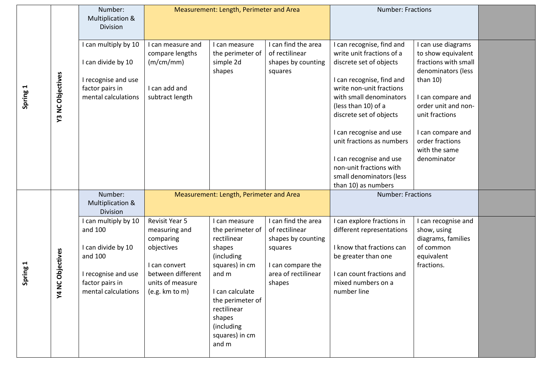|          |                  | Number:<br><b>Multiplication &amp;</b><br><b>Division</b>                                                                         |                                                                                                                                        | Measurement: Length, Perimeter and Area                                                                                                                                                                      |                                                                                                                              | <b>Number: Fractions</b>                                                                                                                                                      |                                                                                                     |  |
|----------|------------------|-----------------------------------------------------------------------------------------------------------------------------------|----------------------------------------------------------------------------------------------------------------------------------------|--------------------------------------------------------------------------------------------------------------------------------------------------------------------------------------------------------------|------------------------------------------------------------------------------------------------------------------------------|-------------------------------------------------------------------------------------------------------------------------------------------------------------------------------|-----------------------------------------------------------------------------------------------------|--|
|          |                  | I can multiply by 10<br>I can divide by 10<br>I recognise and use                                                                 | I can measure and<br>compare lengths<br>(m/cm/mm)                                                                                      | I can measure<br>the perimeter of<br>simple 2d<br>shapes                                                                                                                                                     | I can find the area<br>of rectilinear<br>shapes by counting<br>squares                                                       | I can recognise, find and<br>write unit fractions of a<br>discrete set of objects<br>I can recognise, find and                                                                | can use diagrams<br>to show equivalent<br>fractions with small<br>denominators (less<br>than $10$ ) |  |
| Spring 1 | Y3 NC Objectives | factor pairs in<br>mental calculations                                                                                            | I can add and<br>subtract length                                                                                                       |                                                                                                                                                                                                              |                                                                                                                              | write non-unit fractions<br>with small denominators<br>(less than 10) of a<br>discrete set of objects                                                                         | I can compare and<br>order unit and non-<br>unit fractions                                          |  |
|          |                  |                                                                                                                                   |                                                                                                                                        |                                                                                                                                                                                                              |                                                                                                                              | I can recognise and use<br>unit fractions as numbers<br>I can recognise and use<br>non-unit fractions with                                                                    | I can compare and<br>order fractions<br>with the same<br>denominator                                |  |
|          |                  |                                                                                                                                   |                                                                                                                                        |                                                                                                                                                                                                              |                                                                                                                              | small denominators (less<br>than 10) as numbers                                                                                                                               |                                                                                                     |  |
|          |                  | Number:<br>Multiplication &<br><b>Division</b>                                                                                    |                                                                                                                                        | Measurement: Length, Perimeter and Area                                                                                                                                                                      |                                                                                                                              | <b>Number: Fractions</b>                                                                                                                                                      |                                                                                                     |  |
| Spring 1 | Y4 NC Objectives | I can multiply by 10<br>and 100<br>I can divide by 10<br>and 100<br>I recognise and use<br>factor pairs in<br>mental calculations | Revisit Year 5<br>measuring and<br>comparing<br>objectives<br>I can convert<br>between different<br>units of measure<br>(e.g. km to m) | I can measure<br>the perimeter of<br>rectilinear<br>shapes<br>(including<br>squares) in cm<br>and m<br>I can calculate<br>the perimeter of<br>rectilinear<br>shapes<br>(including<br>squares) in cm<br>and m | I can find the area<br>of rectilinear<br>shapes by counting<br>squares<br>I can compare the<br>area of rectilinear<br>shapes | I can explore fractions in<br>different representations<br>I know that fractions can<br>be greater than one<br>I can count fractions and<br>mixed numbers on a<br>number line | can recognise and<br>show, using<br>diagrams, families<br>of common<br>equivalent<br>fractions.     |  |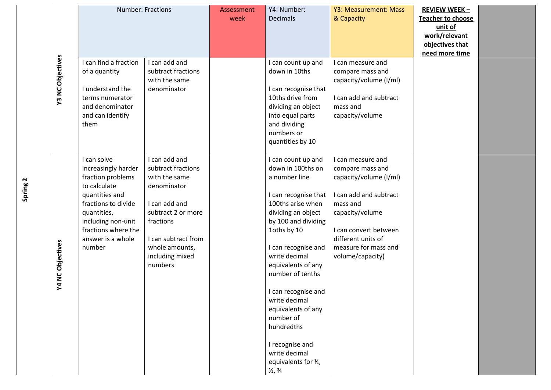|  |                         | Number: Fractions     |                     | Assessment | Y4: Number:                   | Y3: Measurement: Mass  | <b>REVIEW WEEK -</b>     |  |
|--|-------------------------|-----------------------|---------------------|------------|-------------------------------|------------------------|--------------------------|--|
|  |                         |                       |                     | week       | <b>Decimals</b>               | & Capacity             | <b>Teacher to choose</b> |  |
|  |                         |                       |                     |            |                               |                        | unit of                  |  |
|  |                         |                       |                     |            |                               |                        | work/relevant            |  |
|  |                         |                       |                     |            |                               |                        | objectives that          |  |
|  |                         |                       |                     |            |                               |                        | need more time           |  |
|  | <b>Y3 NC Objectives</b> | I can find a fraction | I can add and       |            | I can count up and            | I can measure and      |                          |  |
|  |                         | of a quantity         | subtract fractions  |            | down in 10ths                 | compare mass and       |                          |  |
|  |                         |                       | with the same       |            |                               | capacity/volume (I/ml) |                          |  |
|  |                         | I understand the      | denominator         |            | I can recognise that          |                        |                          |  |
|  |                         | terms numerator       |                     |            | 10ths drive from              | I can add and subtract |                          |  |
|  |                         | and denominator       |                     |            | dividing an object            | mass and               |                          |  |
|  |                         | and can identify      |                     |            | into equal parts              | capacity/volume        |                          |  |
|  |                         | them                  |                     |            | and dividing                  |                        |                          |  |
|  |                         |                       |                     |            | numbers or                    |                        |                          |  |
|  |                         |                       |                     |            | quantities by 10              |                        |                          |  |
|  |                         |                       |                     |            |                               |                        |                          |  |
|  |                         | I can solve           | I can add and       |            | I can count up and            | I can measure and      |                          |  |
|  |                         | increasingly harder   | subtract fractions  |            | down in 100ths on             | compare mass and       |                          |  |
|  |                         | fraction problems     | with the same       |            | a number line                 | capacity/volume (I/ml) |                          |  |
|  |                         | to calculate          | denominator         |            |                               |                        |                          |  |
|  |                         | quantities and        |                     |            | I can recognise that          | I can add and subtract |                          |  |
|  |                         | fractions to divide   | I can add and       |            | 100ths arise when             | mass and               |                          |  |
|  |                         | quantities,           | subtract 2 or more  |            | dividing an object            | capacity/volume        |                          |  |
|  |                         | including non-unit    | fractions           |            | by 100 and dividing           |                        |                          |  |
|  |                         | fractions where the   |                     |            | 1oths by 10                   | I can convert between  |                          |  |
|  |                         | answer is a whole     | I can subtract from |            |                               | different units of     |                          |  |
|  |                         | number                | whole amounts,      |            | I can recognise and           | measure for mass and   |                          |  |
|  |                         |                       | including mixed     |            | write decimal                 | volume/capacity)       |                          |  |
|  |                         |                       | numbers             |            | equivalents of any            |                        |                          |  |
|  |                         |                       |                     |            | number of tenths              |                        |                          |  |
|  | Y4 NC Objectives        |                       |                     |            |                               |                        |                          |  |
|  |                         |                       |                     |            | I can recognise and           |                        |                          |  |
|  |                         |                       |                     |            | write decimal                 |                        |                          |  |
|  |                         |                       |                     |            | equivalents of any            |                        |                          |  |
|  |                         |                       |                     |            | number of                     |                        |                          |  |
|  |                         |                       |                     |            | hundredths                    |                        |                          |  |
|  |                         |                       |                     |            |                               |                        |                          |  |
|  |                         |                       |                     |            | I recognise and               |                        |                          |  |
|  |                         |                       |                     |            | write decimal                 |                        |                          |  |
|  |                         |                       |                     |            | equivalents for 1/4,          |                        |                          |  |
|  |                         |                       |                     |            | $\frac{1}{2}$ , $\frac{3}{4}$ |                        |                          |  |

**Spring 2**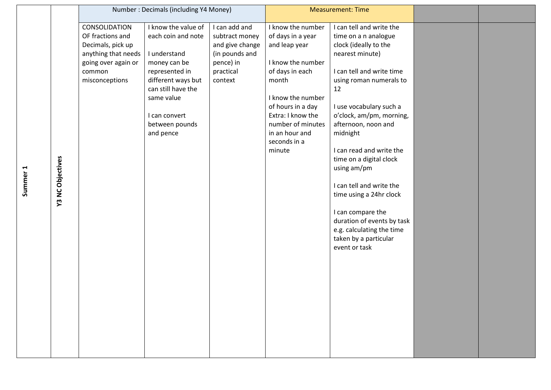|                         |                                                                                                                                  | Number: Decimals (including Y4 Money)                                                                                                                                                                 |                                                                                                           | <b>Measurement: Time</b>                                                                                                                                                                                                                 |                                                                                                                                                                                                                                                                                                                                                                                                                                                                                                             |  |
|-------------------------|----------------------------------------------------------------------------------------------------------------------------------|-------------------------------------------------------------------------------------------------------------------------------------------------------------------------------------------------------|-----------------------------------------------------------------------------------------------------------|------------------------------------------------------------------------------------------------------------------------------------------------------------------------------------------------------------------------------------------|-------------------------------------------------------------------------------------------------------------------------------------------------------------------------------------------------------------------------------------------------------------------------------------------------------------------------------------------------------------------------------------------------------------------------------------------------------------------------------------------------------------|--|
| <b>Y3 NC Objectives</b> | CONSOLIDATION<br>OF fractions and<br>Decimals, pick up<br>anything that needs<br>going over again or<br>common<br>misconceptions | I know the value of<br>each coin and note<br>I understand<br>money can be<br>represented in<br>different ways but<br>can still have the<br>same value<br>I can convert<br>between pounds<br>and pence | I can add and<br>subtract money<br>and give change<br>(in pounds and<br>pence) in<br>practical<br>context | I know the number<br>of days in a year<br>and leap year<br>I know the number<br>of days in each<br>month<br>I know the number<br>of hours in a day<br>Extra: I know the<br>number of minutes<br>in an hour and<br>seconds in a<br>minute | I can tell and write the<br>time on a n analogue<br>clock (ideally to the<br>nearest minute)<br>I can tell and write time<br>using roman numerals to<br>12<br>I use vocabulary such a<br>o'clock, am/pm, morning,<br>afternoon, noon and<br>midnight<br>I can read and write the<br>time on a digital clock<br>using am/pm<br>I can tell and write the<br>time using a 24hr clock<br>I can compare the<br>duration of events by task<br>e.g. calculating the time<br>taken by a particular<br>event or task |  |

**Summer 1**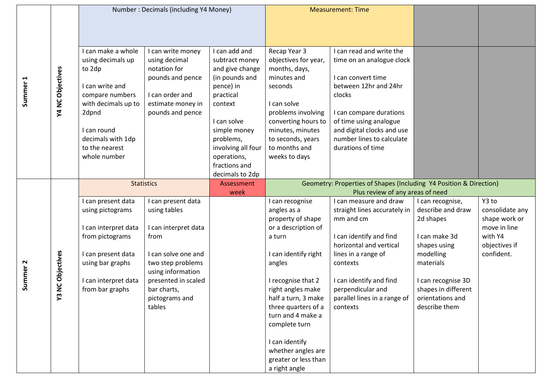|                     |                      | Number: Decimals (including Y4 Money)             |                                                  |                                                    | <b>Measurement: Time</b>                                                                               |                                                       |                     |                 |
|---------------------|----------------------|---------------------------------------------------|--------------------------------------------------|----------------------------------------------------|--------------------------------------------------------------------------------------------------------|-------------------------------------------------------|---------------------|-----------------|
|                     |                      |                                                   |                                                  |                                                    |                                                                                                        |                                                       |                     |                 |
|                     |                      |                                                   |                                                  |                                                    |                                                                                                        |                                                       |                     |                 |
|                     |                      | I can make a whole<br>using decimals up<br>to 2dp | can write money<br>using decimal<br>notation for | I can add and<br>subtract money<br>and give change | Recap Year 3<br>objectives for year,<br>months, days,                                                  | I can read and write the<br>time on an analogue clock |                     |                 |
|                     | Y4 NC Objectives     |                                                   | pounds and pence                                 | (in pounds and                                     | minutes and                                                                                            | I can convert time                                    |                     |                 |
| Summer              |                      | I can write and                                   |                                                  | pence) in                                          | seconds                                                                                                | between 12hr and 24hr                                 |                     |                 |
|                     |                      | compare numbers                                   | I can order and                                  | practical                                          |                                                                                                        | clocks                                                |                     |                 |
|                     |                      | with decimals up to                               | estimate money in                                | context                                            | I can solve                                                                                            |                                                       |                     |                 |
|                     |                      | 2dpnd                                             | pounds and pence                                 | I can solve                                        | problems involving<br>converting hours to                                                              | I can compare durations<br>of time using analogue     |                     |                 |
|                     |                      | I can round                                       |                                                  | simple money                                       | minutes, minutes                                                                                       | and digital clocks and use                            |                     |                 |
|                     |                      | decimals with 1dp                                 |                                                  | problems,                                          | to seconds, years                                                                                      | number lines to calculate                             |                     |                 |
|                     |                      | to the nearest                                    |                                                  | involving all four                                 | to months and                                                                                          | durations of time                                     |                     |                 |
|                     |                      | whole number                                      |                                                  | operations,                                        | weeks to days                                                                                          |                                                       |                     |                 |
|                     |                      |                                                   |                                                  | fractions and                                      |                                                                                                        |                                                       |                     |                 |
|                     |                      |                                                   |                                                  | decimals to 2dp                                    |                                                                                                        |                                                       |                     |                 |
|                     |                      | <b>Statistics</b>                                 |                                                  | Assessment<br>week                                 | Geometry: Properties of Shapes (Including Y4 Position & Direction)<br>Plus review of any areas of need |                                                       |                     |                 |
|                     |                      | I can present data                                | can present data                                 |                                                    | I can recognise                                                                                        | I can measure and draw                                | I can recognise,    | Y3 to           |
|                     |                      | using pictograms                                  | using tables                                     |                                                    | angles as a                                                                                            | straight lines accurately in                          | describe and draw   | consolidate any |
|                     |                      |                                                   |                                                  |                                                    | property of shape                                                                                      | mm and cm                                             | 2d shapes           | shape work or   |
|                     |                      | I can interpret data                              | I can interpret data                             |                                                    | or a description of                                                                                    |                                                       |                     | move in line    |
|                     |                      | from pictograms                                   | from                                             |                                                    | a turn                                                                                                 | I can identify and find                               | I can make 3d       | with Y4         |
|                     |                      |                                                   |                                                  |                                                    |                                                                                                        | horizontal and vertical                               | shapes using        | objectives if   |
|                     |                      | I can present data                                | I can solve one and                              |                                                    | I can identify right                                                                                   | lines in a range of                                   | modelling           | confident.      |
|                     |                      | using bar graphs                                  | two step problems<br>using information           |                                                    | angles                                                                                                 | contexts                                              | materials           |                 |
| Summer <sub>2</sub> | <b>NC Objectives</b> | I can interpret data                              | presented in scaled                              |                                                    | I recognise that 2                                                                                     | I can identify and find                               | I can recognise 3D  |                 |
|                     |                      | from bar graphs                                   | bar charts,                                      |                                                    | right angles make                                                                                      | perpendicular and                                     | shapes in different |                 |
|                     | ო<br>≻               |                                                   | pictograms and                                   |                                                    | half a turn, 3 make                                                                                    | parallel lines in a range of                          | orientations and    |                 |
|                     |                      |                                                   | tables                                           |                                                    | three quarters of a                                                                                    | contexts                                              | describe them       |                 |
|                     |                      |                                                   |                                                  |                                                    | turn and 4 make a                                                                                      |                                                       |                     |                 |
|                     |                      |                                                   |                                                  |                                                    | complete turn                                                                                          |                                                       |                     |                 |
|                     |                      |                                                   |                                                  |                                                    | I can identify                                                                                         |                                                       |                     |                 |
|                     |                      |                                                   |                                                  |                                                    | whether angles are                                                                                     |                                                       |                     |                 |
|                     |                      |                                                   |                                                  |                                                    | greater or less than                                                                                   |                                                       |                     |                 |
|                     |                      |                                                   |                                                  |                                                    | a right angle                                                                                          |                                                       |                     |                 |